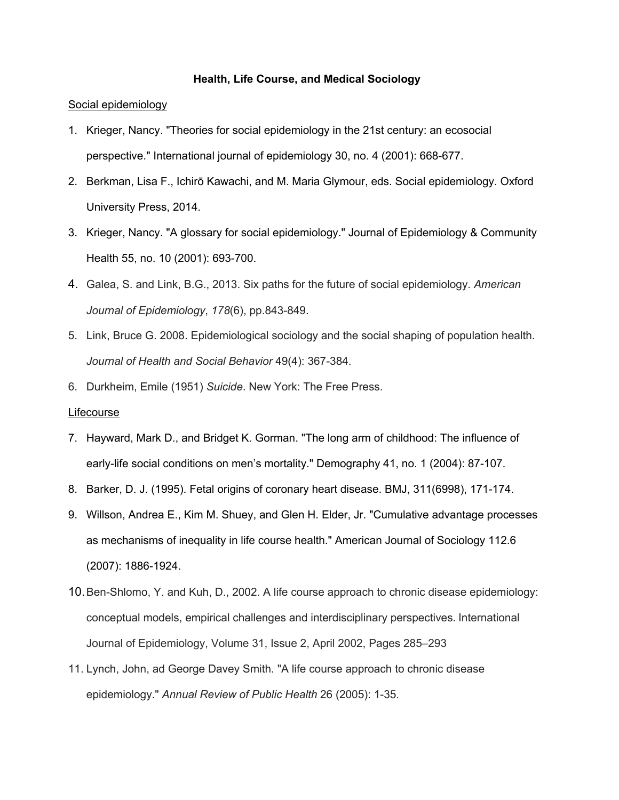### **Health, Life Course, and Medical Sociology**

## Social epidemiology

- 1. Krieger, Nancy. "Theories for social epidemiology in the 21st century: an ecosocial perspective." International journal of epidemiology 30, no. 4 (2001): 668-677.
- 2. Berkman, Lisa F., Ichirō Kawachi, and M. Maria Glymour, eds. Social epidemiology. Oxford University Press, 2014.
- 3. Krieger, Nancy. "A glossary for social epidemiology." Journal of Epidemiology & Community Health 55, no. 10 (2001): 693-700.
- 4. Galea, S. and Link, B.G., 2013. Six paths for the future of social epidemiology. *American Journal of Epidemiology*, *178*(6), pp.843-849.
- 5. Link, Bruce G. 2008. Epidemiological sociology and the social shaping of population health. *Journal of Health and Social Behavior* 49(4): 367-384.
- 6. Durkheim, Emile (1951) *Suicide*. New York: The Free Press.

# Lifecourse

- 7. Hayward, Mark D., and Bridget K. Gorman. "The long arm of childhood: The influence of early-life social conditions on men's mortality." Demography 41, no. 1 (2004): 87-107.
- 8. Barker, D. J. (1995). Fetal origins of coronary heart disease. BMJ, 311(6998), 171-174.
- 9. Willson, Andrea E., Kim M. Shuey, and Glen H. Elder, Jr. "Cumulative advantage processes as mechanisms of inequality in life course health." American Journal of Sociology 112.6 (2007): 1886-1924.
- 10.Ben-Shlomo, Y. and Kuh, D., 2002. A life course approach to chronic disease epidemiology: conceptual models, empirical challenges and interdisciplinary perspectives. International Journal of Epidemiology, Volume 31, Issue 2, April 2002, Pages 285–293
- 11. Lynch, John, ad George Davey Smith. "A life course approach to chronic disease epidemiology." *Annual Review of Public Health* 26 (2005): 1-35.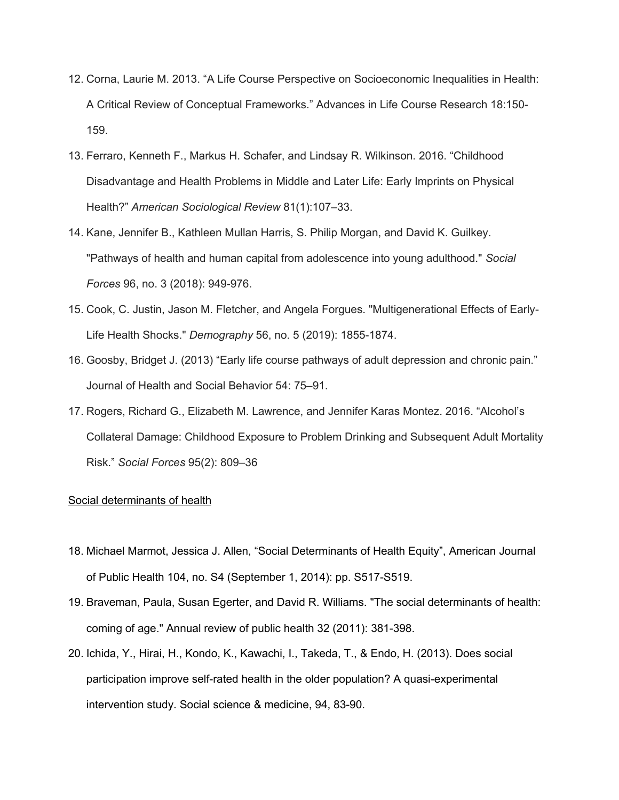- 12. Corna, Laurie M. 2013. "A Life Course Perspective on Socioeconomic Inequalities in Health: A Critical Review of Conceptual Frameworks." Advances in Life Course Research 18:150- 159.
- 13. Ferraro, Kenneth F., Markus H. Schafer, and Lindsay R. Wilkinson. 2016. "Childhood Disadvantage and Health Problems in Middle and Later Life: Early Imprints on Physical Health?" *American Sociological Review* 81(1):107–33.
- 14. Kane, Jennifer B., Kathleen Mullan Harris, S. Philip Morgan, and David K. Guilkey. "Pathways of health and human capital from adolescence into young adulthood." *Social Forces* 96, no. 3 (2018): 949-976.
- 15. Cook, C. Justin, Jason M. Fletcher, and Angela Forgues. "Multigenerational Effects of Early-Life Health Shocks." *Demography* 56, no. 5 (2019): 1855-1874.
- 16. Goosby, Bridget J. (2013) "Early life course pathways of adult depression and chronic pain." Journal of Health and Social Behavior 54: 75–91.
- 17. Rogers, Richard G., Elizabeth M. Lawrence, and Jennifer Karas Montez. 2016. "Alcohol's Collateral Damage: Childhood Exposure to Problem Drinking and Subsequent Adult Mortality Risk." *Social Forces* 95(2): 809–36

# Social determinants of health

- 18. Michael Marmot, Jessica J. Allen, "Social Determinants of Health Equity", American Journal of Public Health 104, no. S4 (September 1, 2014): pp. S517-S519.
- 19. Braveman, Paula, Susan Egerter, and David R. Williams. "The social determinants of health: coming of age." Annual review of public health 32 (2011): 381-398.
- 20. Ichida, Y., Hirai, H., Kondo, K., Kawachi, I., Takeda, T., & Endo, H. (2013). Does social participation improve self-rated health in the older population? A quasi-experimental intervention study. Social science & medicine, 94, 83-90.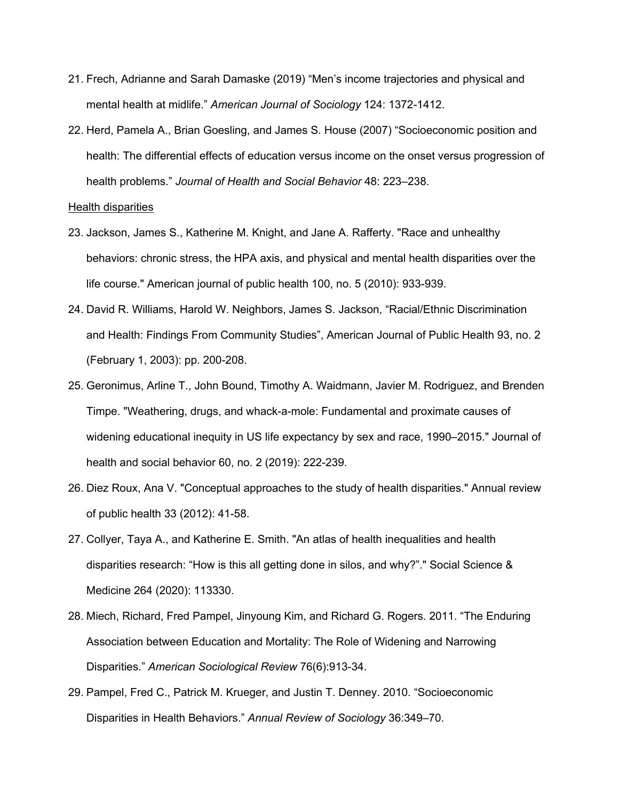- 21. Frech, Adrianne and Sarah Damaske (2019) "Men's income trajectories and physical and mental health at midlife." *American Journal of Sociology* 124: 1372-1412.
- 22. Herd, Pamela A., Brian Goesling, and James S. House (2007) "Socioeconomic position and health: The differential effects of education versus income on the onset versus progression of health problems." *Journal of Health and Social Behavior* 48: 223–238.

#### Health disparities

- 23. Jackson, James S., Katherine M. Knight, and Jane A. Rafferty. "Race and unhealthy behaviors: chronic stress, the HPA axis, and physical and mental health disparities over the life course." American journal of public health 100, no. 5 (2010): 933-939.
- 24. David R. Williams, Harold W. Neighbors, James S. Jackson, "Racial/Ethnic Discrimination and Health: Findings From Community Studies", American Journal of Public Health 93, no. 2 (February 1, 2003): pp. 200-208.
- 25. Geronimus, Arline T., John Bound, Timothy A. Waidmann, Javier M. Rodriguez, and Brenden Timpe. "Weathering, drugs, and whack-a-mole: Fundamental and proximate causes of widening educational inequity in US life expectancy by sex and race, 1990–2015." Journal of health and social behavior 60, no. 2 (2019): 222-239.
- 26. Diez Roux, Ana V. "Conceptual approaches to the study of health disparities." Annual review of public health 33 (2012): 41-58.
- 27. Collyer, Taya A., and Katherine E. Smith. "An atlas of health inequalities and health disparities research: "How is this all getting done in silos, and why?"." Social Science & Medicine 264 (2020): 113330.
- 28. Miech, Richard, Fred Pampel, Jinyoung Kim, and Richard G. Rogers. 2011. "The Enduring Association between Education and Mortality: The Role of Widening and Narrowing Disparities." *American Sociological Review* 76(6):913-34.
- 29. Pampel, Fred C., Patrick M. Krueger, and Justin T. Denney. 2010. "Socioeconomic Disparities in Health Behaviors." *Annual Review of Sociology* 36:349–70.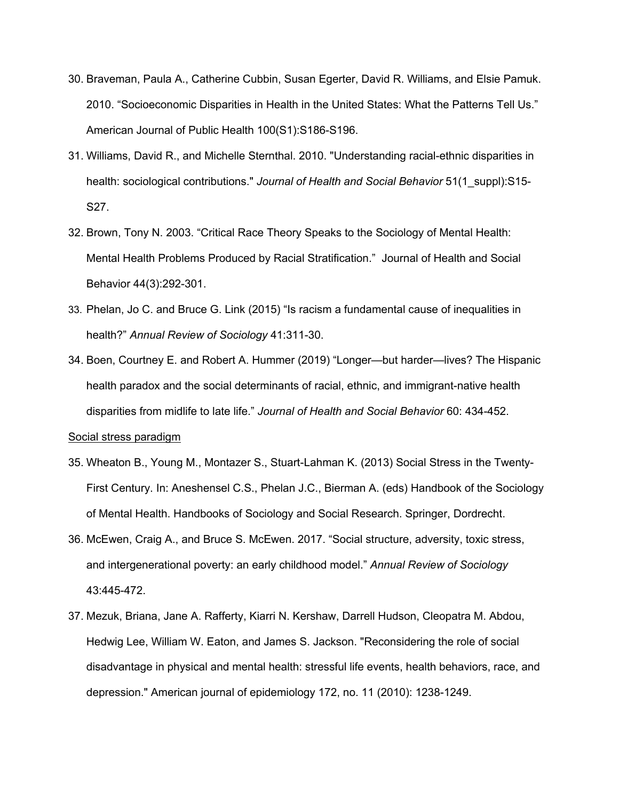- 30. Braveman, Paula A., Catherine Cubbin, Susan Egerter, David R. Williams, and Elsie Pamuk. 2010. "Socioeconomic Disparities in Health in the United States: What the Patterns Tell Us." American Journal of Public Health 100(S1):S186-S196.
- 31. Williams, David R., and Michelle Sternthal. 2010. "Understanding racial-ethnic disparities in health: sociological contributions." *Journal of Health and Social Behavior* 51(1\_suppl):S15- S27.
- 32. Brown, Tony N. 2003. "Critical Race Theory Speaks to the Sociology of Mental Health: Mental Health Problems Produced by Racial Stratification." Journal of Health and Social Behavior 44(3):292-301.
- 33. Phelan, Jo C. and Bruce G. Link (2015) "Is racism a fundamental cause of inequalities in health?" *Annual Review of Sociology* 41:311-30.
- 34. Boen, Courtney E. and Robert A. Hummer (2019) "Longer—but harder—lives? The Hispanic health paradox and the social determinants of racial, ethnic, and immigrant-native health disparities from midlife to late life." *Journal of Health and Social Behavior* 60: 434-452. Social stress paradigm

- 35. Wheaton B., Young M., Montazer S., Stuart-Lahman K. (2013) Social Stress in the Twenty-First Century. In: Aneshensel C.S., Phelan J.C., Bierman A. (eds) Handbook of the Sociology of Mental Health. Handbooks of Sociology and Social Research. Springer, Dordrecht.
- 36. McEwen, Craig A., and Bruce S. McEwen. 2017. "Social structure, adversity, toxic stress, and intergenerational poverty: an early childhood model." *Annual Review of Sociology* 43:445-472.
- 37. Mezuk, Briana, Jane A. Rafferty, Kiarri N. Kershaw, Darrell Hudson, Cleopatra M. Abdou, Hedwig Lee, William W. Eaton, and James S. Jackson. "Reconsidering the role of social disadvantage in physical and mental health: stressful life events, health behaviors, race, and depression." American journal of epidemiology 172, no. 11 (2010): 1238-1249.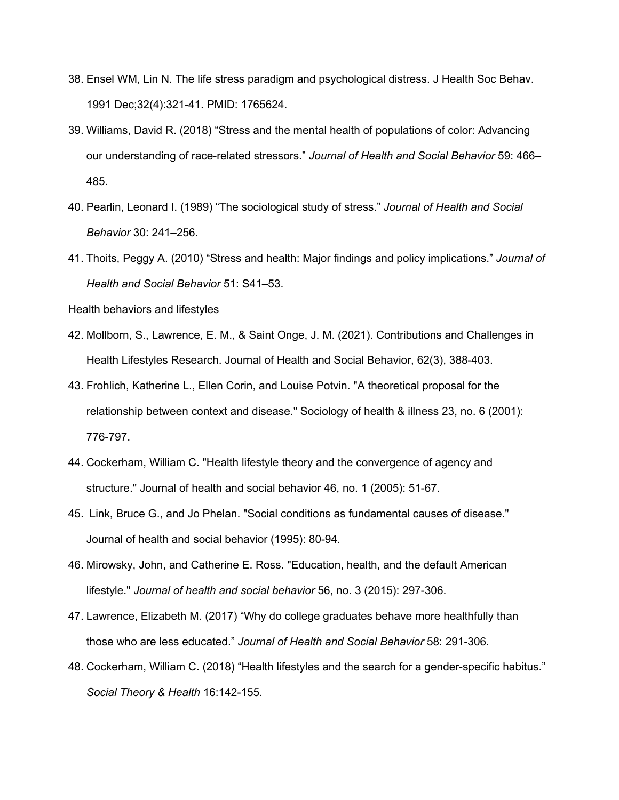- 38. Ensel WM, Lin N. The life stress paradigm and psychological distress. J Health Soc Behav. 1991 Dec;32(4):321-41. PMID: 1765624.
- 39. Williams, David R. (2018) "Stress and the mental health of populations of color: Advancing our understanding of race-related stressors." *Journal of Health and Social Behavior* 59: 466– 485.
- 40. Pearlin, Leonard I. (1989) "The sociological study of stress." *Journal of Health and Social Behavior* 30: 241–256.
- 41. Thoits, Peggy A. (2010) "Stress and health: Major findings and policy implications." *Journal of Health and Social Behavior* 51: S41–53.

#### Health behaviors and lifestyles

- 42. Mollborn, S., Lawrence, E. M., & Saint Onge, J. M. (2021). Contributions and Challenges in Health Lifestyles Research. Journal of Health and Social Behavior, 62(3), 388-403.
- 43. Frohlich, Katherine L., Ellen Corin, and Louise Potvin. "A theoretical proposal for the relationship between context and disease." Sociology of health & illness 23, no. 6 (2001): 776-797.
- 44. Cockerham, William C. "Health lifestyle theory and the convergence of agency and structure." Journal of health and social behavior 46, no. 1 (2005): 51-67.
- 45. Link, Bruce G., and Jo Phelan. "Social conditions as fundamental causes of disease." Journal of health and social behavior (1995): 80-94.
- 46. Mirowsky, John, and Catherine E. Ross. "Education, health, and the default American lifestyle." *Journal of health and social behavior* 56, no. 3 (2015): 297-306.
- 47. Lawrence, Elizabeth M. (2017) "Why do college graduates behave more healthfully than those who are less educated." *Journal of Health and Social Behavior* 58: 291-306.
- 48. Cockerham, William C. (2018) "Health lifestyles and the search for a gender-specific habitus." *Social Theory & Health* 16:142-155.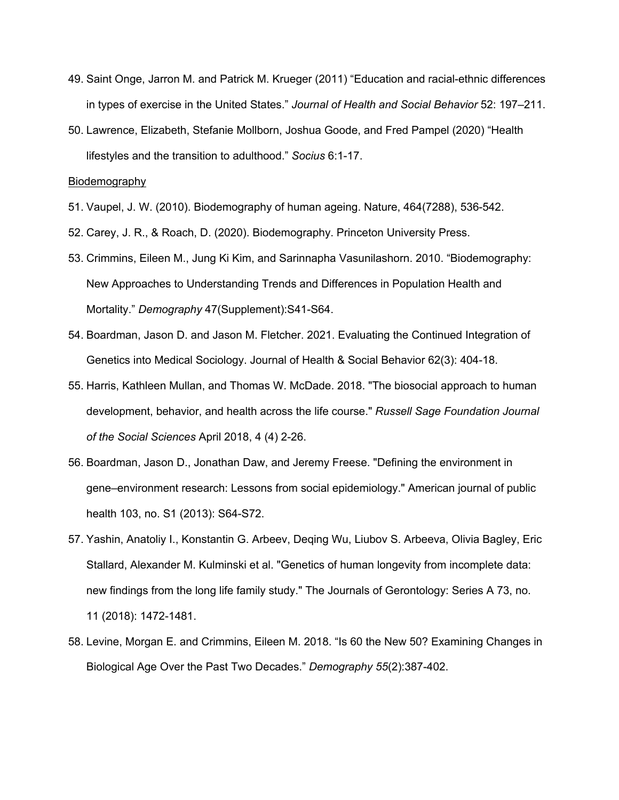- 49. Saint Onge, Jarron M. and Patrick M. Krueger (2011) "Education and racial-ethnic differences in types of exercise in the United States." *Journal of Health and Social Behavior* 52: 197–211.
- 50. Lawrence, Elizabeth, Stefanie Mollborn, Joshua Goode, and Fred Pampel (2020) "Health lifestyles and the transition to adulthood." *Socius* 6:1-17.

Biodemography

- 51. Vaupel, J. W. (2010). Biodemography of human ageing. Nature, 464(7288), 536-542.
- 52. Carey, J. R., & Roach, D. (2020). Biodemography. Princeton University Press.
- 53. Crimmins, Eileen M., Jung Ki Kim, and Sarinnapha Vasunilashorn. 2010. "Biodemography: New Approaches to Understanding Trends and Differences in Population Health and Mortality." *Demography* 47(Supplement):S41-S64.
- 54. Boardman, Jason D. and Jason M. Fletcher. 2021. Evaluating the Continued Integration of Genetics into Medical Sociology. Journal of Health & Social Behavior 62(3): 404-18.
- 55. Harris, Kathleen Mullan, and Thomas W. McDade. 2018. "The biosocial approach to human development, behavior, and health across the life course." *Russell Sage Foundation Journal of the Social Sciences* April 2018, 4 (4) 2-26.
- 56. Boardman, Jason D., Jonathan Daw, and Jeremy Freese. "Defining the environment in gene–environment research: Lessons from social epidemiology." American journal of public health 103, no. S1 (2013): S64-S72.
- 57. Yashin, Anatoliy I., Konstantin G. Arbeev, Deqing Wu, Liubov S. Arbeeva, Olivia Bagley, Eric Stallard, Alexander M. Kulminski et al. "Genetics of human longevity from incomplete data: new findings from the long life family study." The Journals of Gerontology: Series A 73, no. 11 (2018): 1472-1481.
- 58. Levine, Morgan E. and Crimmins, Eileen M. 2018. "Is 60 the New 50? Examining Changes in Biological Age Over the Past Two Decades." *Demography 55*(2):387-402.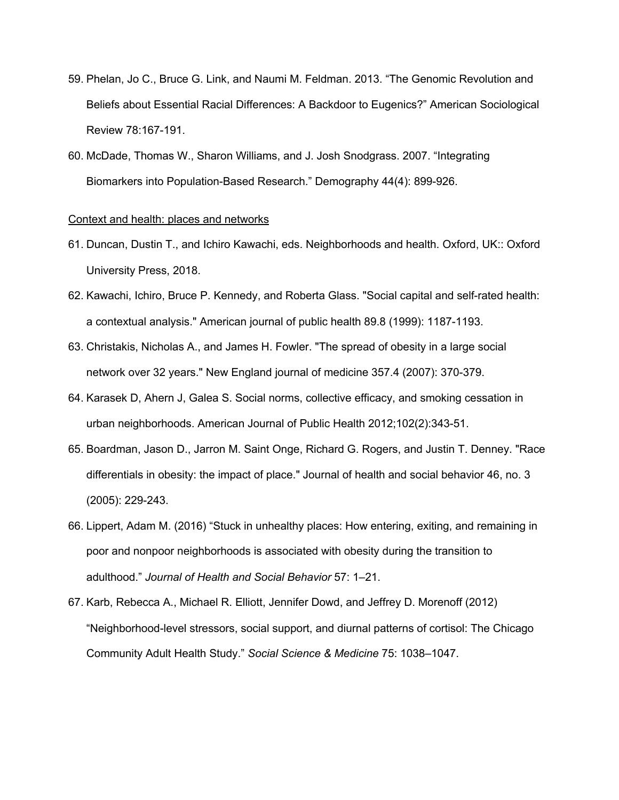- 59. Phelan, Jo C., Bruce G. Link, and Naumi M. Feldman. 2013. "The Genomic Revolution and Beliefs about Essential Racial Differences: A Backdoor to Eugenics?" American Sociological Review 78:167-191.
- 60. McDade, Thomas W., Sharon Williams, and J. Josh Snodgrass. 2007. "Integrating Biomarkers into Population-Based Research." Demography 44(4): 899-926.

#### Context and health: places and networks

- 61. Duncan, Dustin T., and Ichiro Kawachi, eds. Neighborhoods and health. Oxford, UK:: Oxford University Press, 2018.
- 62. Kawachi, Ichiro, Bruce P. Kennedy, and Roberta Glass. "Social capital and self-rated health: a contextual analysis." American journal of public health 89.8 (1999): 1187-1193.
- 63. Christakis, Nicholas A., and James H. Fowler. "The spread of obesity in a large social network over 32 years." New England journal of medicine 357.4 (2007): 370-379.
- 64. Karasek D, Ahern J, Galea S. Social norms, collective efficacy, and smoking cessation in urban neighborhoods. American Journal of Public Health 2012;102(2):343-51.
- 65. Boardman, Jason D., Jarron M. Saint Onge, Richard G. Rogers, and Justin T. Denney. "Race differentials in obesity: the impact of place." Journal of health and social behavior 46, no. 3 (2005): 229-243.
- 66. Lippert, Adam M. (2016) "Stuck in unhealthy places: How entering, exiting, and remaining in poor and nonpoor neighborhoods is associated with obesity during the transition to adulthood." *Journal of Health and Social Behavior* 57: 1–21.
- 67. Karb, Rebecca A., Michael R. Elliott, Jennifer Dowd, and Jeffrey D. Morenoff (2012) "Neighborhood-level stressors, social support, and diurnal patterns of cortisol: The Chicago Community Adult Health Study." *Social Science & Medicine* 75: 1038–1047.